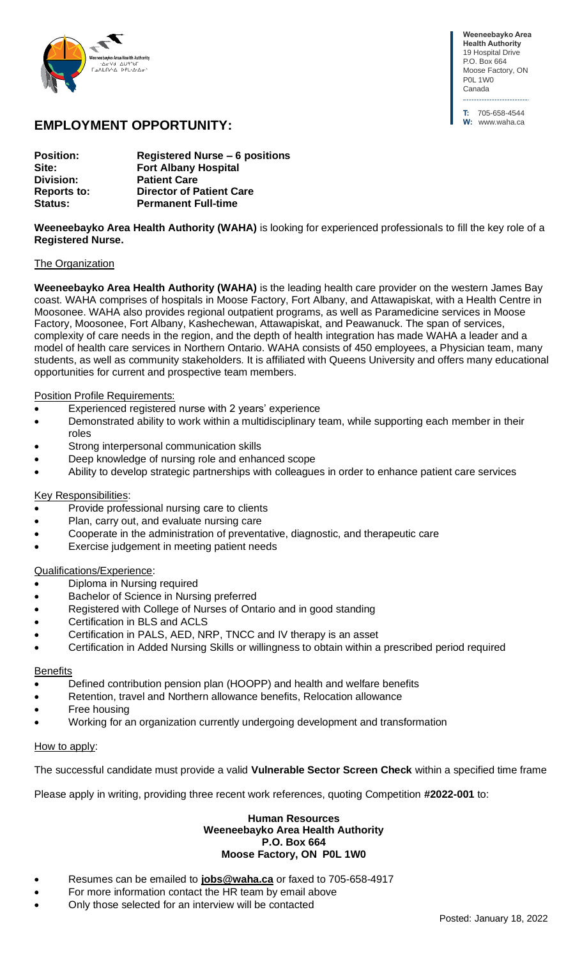

**Weeneebayko Area Health Authority** 19 Hospital Drive P.O. Box 664 Moose Factory, ON P0L 1W0 Canada

**T:** 705-658-4544 **W:** www.waha.ca

# **EMPLOYMENT OPPORTUNITY:**

| <b>Position:</b>   | <b>Registered Nurse - 6 positions</b> |
|--------------------|---------------------------------------|
| Site:              | <b>Fort Albany Hospital</b>           |
| Division:          | <b>Patient Care</b>                   |
| <b>Reports to:</b> | <b>Director of Patient Care</b>       |
| <b>Status:</b>     | <b>Permanent Full-time</b>            |

**Weeneebayko Area Health Authority (WAHA)** is looking for experienced professionals to fill the key role of a **Registered Nurse.**

### The Organization

**Weeneebayko Area Health Authority (WAHA)** is the leading health care provider on the western James Bay coast. WAHA comprises of hospitals in Moose Factory, Fort Albany, and Attawapiskat, with a Health Centre in Moosonee. WAHA also provides regional outpatient programs, as well as Paramedicine services in Moose Factory, Moosonee, Fort Albany, Kashechewan, Attawapiskat, and Peawanuck. The span of services, complexity of care needs in the region, and the depth of health integration has made WAHA a leader and a model of health care services in Northern Ontario. WAHA consists of 450 employees, a Physician team, many students, as well as community stakeholders. It is affiliated with Queens University and offers many educational opportunities for current and prospective team members.

## Position Profile Requirements:

- Experienced registered nurse with 2 years' experience
- Demonstrated ability to work within a multidisciplinary team, while supporting each member in their roles
- Strong interpersonal communication skills
- Deep knowledge of nursing role and enhanced scope
- Ability to develop strategic partnerships with colleagues in order to enhance patient care services

## Key Responsibilities:

- Provide professional nursing care to clients
- Plan, carry out, and evaluate nursing care
- Cooperate in the administration of preventative, diagnostic, and therapeutic care
- Exercise judgement in meeting patient needs

## Qualifications/Experience:

- Diploma in Nursing required
- Bachelor of Science in Nursing preferred
- Registered with College of Nurses of Ontario and in good standing
- Certification in BLS and ACLS
- Certification in PALS, AED, NRP, TNCC and IV therapy is an asset
- Certification in Added Nursing Skills or willingness to obtain within a prescribed period required

#### **Benefits**

- Defined contribution pension plan (HOOPP) and health and welfare benefits
- Retention, travel and Northern allowance benefits, Relocation allowance
- Free housing
- Working for an organization currently undergoing development and transformation

#### How to apply:

The successful candidate must provide a valid **Vulnerable Sector Screen Check** within a specified time frame

Please apply in writing, providing three recent work references, quoting Competition **#2022-001** to:

#### **Human Resources Weeneebayko Area Health Authority P.O. Box 664 Moose Factory, ON P0L 1W0**

- Resumes can be emailed to **[jobs@waha.ca](mailto:jobs@waha.ca)** or faxed to 705-658-4917
- For more information contact the HR team by email above
- Only those selected for an interview will be contacted